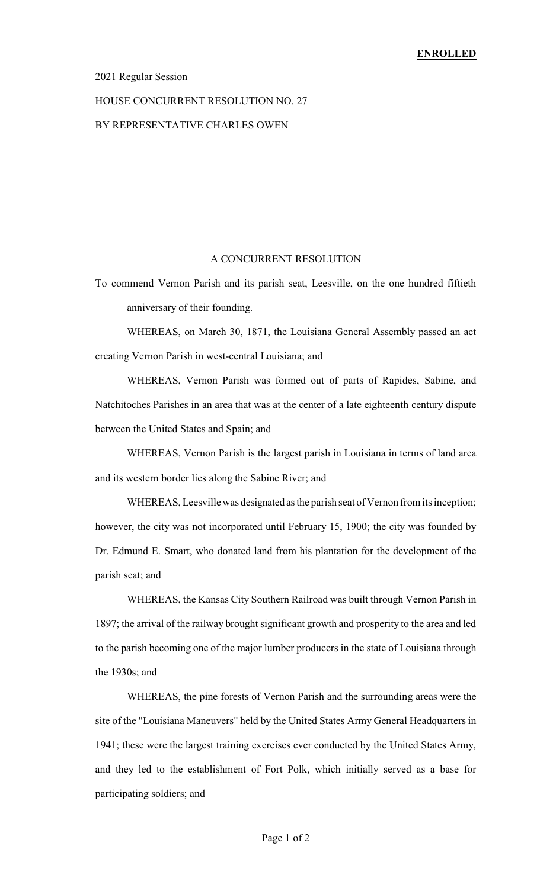#### 2021 Regular Session

#### HOUSE CONCURRENT RESOLUTION NO. 27

### BY REPRESENTATIVE CHARLES OWEN

#### A CONCURRENT RESOLUTION

To commend Vernon Parish and its parish seat, Leesville, on the one hundred fiftieth anniversary of their founding.

WHEREAS, on March 30, 1871, the Louisiana General Assembly passed an act creating Vernon Parish in west-central Louisiana; and

WHEREAS, Vernon Parish was formed out of parts of Rapides, Sabine, and Natchitoches Parishes in an area that was at the center of a late eighteenth century dispute between the United States and Spain; and

WHEREAS, Vernon Parish is the largest parish in Louisiana in terms of land area and its western border lies along the Sabine River; and

WHEREAS, Leesville was designated as the parish seat of Vernon from its inception; however, the city was not incorporated until February 15, 1900; the city was founded by Dr. Edmund E. Smart, who donated land from his plantation for the development of the parish seat; and

WHEREAS, the Kansas City Southern Railroad was built through Vernon Parish in 1897; the arrival of the railway brought significant growth and prosperity to the area and led to the parish becoming one of the major lumber producers in the state of Louisiana through the 1930s; and

WHEREAS, the pine forests of Vernon Parish and the surrounding areas were the site of the "Louisiana Maneuvers" held by the United States Army General Headquarters in 1941; these were the largest training exercises ever conducted by the United States Army, and they led to the establishment of Fort Polk, which initially served as a base for participating soldiers; and